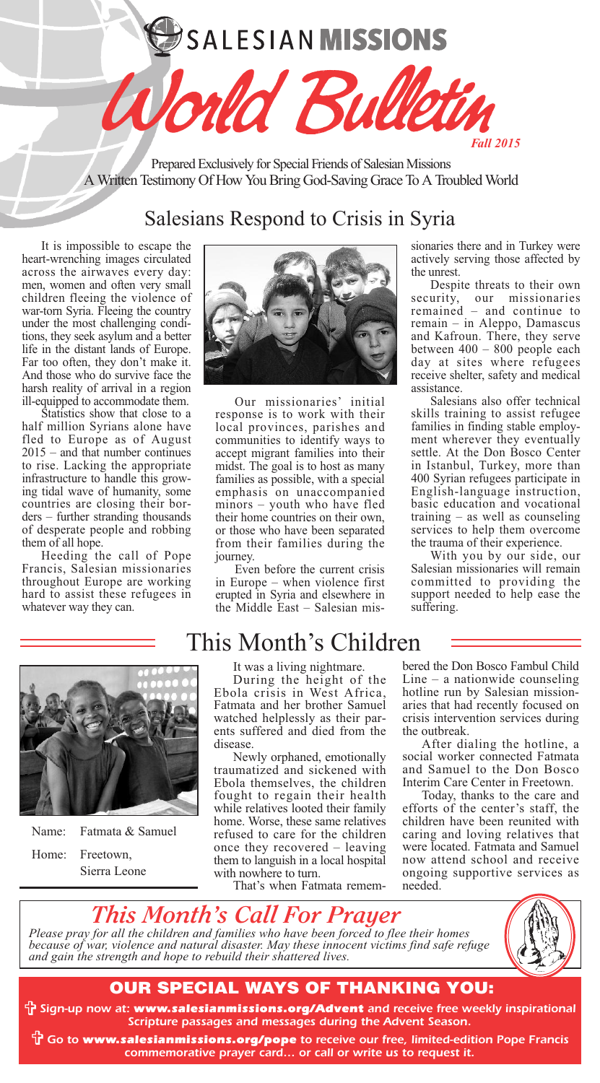# **SALESIAN MISSIONS**

*Fall 2015* Prepared Exclusively for Special Friends of Salesian Missions A Written Testimony Of How You Bring God-Saving Grace To A Troubled World

Vorld Bul

## Salesians Respond to Crisis in Syria

It is impossible to escape the heart-wrenching images circulated across the airwaves every day: men, women and often very small children fleeing the violence of war-torn Syria. Fleeing the country under the most challenging condi tions, they seek asylum and a better life in the distant lands of Europe. Far too often, they don't make it. And those who do survive face the harsh reality of arrival in a region ill-equipped to accommodate them.

Statistics show that close to a half million Syrians alone have fled to Europe as of August 2015 – and that number continues to rise. Lacking the appropriate infrastructure to handle this growing tidal wave of humanity, some countries are closing their bor ders – further stranding thousands of desperate people and robbing them of all hope.

Heeding the call of Pope Francis, Salesian missionaries throughout Europe are working hard to assist these refugees in whatever way they can.



Our missionaries' initial response is to work with their local provinces, parishes and communities to identify ways to accept migrant families into their midst. The goal is to host as many families as possible, with a special emphasis on unaccompanied minors – youth who have fled their home countries on their own, or those who have been separated from their families during the journey.

Even before the current crisis in Europe – when violence first erupted in Syria and elsewhere in the Middle East – Salesian missionaries there and in Turkey were actively serving those affected by the unrest.

Despite threats to their own security, our missionaries remained – and continue to remain – in Aleppo, Damascus and Kafroun. There, they serve between 400 – 800 people each day at sites where refugees receive shelter, safety and medical assistance.

Salesians also offer technical skills training to assist refugee families in finding stable employment wherever they eventually settle. At the Don Bosco Center in Istanbul, Turkey, more than 400 Syrian refugees participate in English-language instruction, basic education and vocational training – as well as counseling services to help them overcome the trauma of their experience.

With you by our side, our Salesian missionaries will remain committed to providing the support needed to help ease the suffering.



Name: Fatmata & Samuel Home: Freetown, Sierra Leone

## This Month's Children

It was a living nightmare.

During the height of the<br>Ebola crisis in West Africa, Fatmata and her brother Samuel watched helplessly as their par-<br>ents suffered and died from the<br>disease.

Newly orphaned, emotionally traumatized and sickened with Ebola themselves, the children fought to regain their health while relatives looted their family home. Worse, these same relatives refused to care for the children once they recovered – leaving them to languish in a local hospital

That's when Fatmata remem-

bered the Don Bosco Fambul Child Line – a nationwide counseling hotline run by Salesian mission-<br>aries that had recently focused on crisis intervention services during

After dialing the hotline, a social worker connected Fatmata and Samuel to the Don Bosco

Interim Care Center in Freetown. Today, thanks to the care and efforts of the center's staff, the children have been reunited with caring and loving relatives that were located. Fatmata and Samuel now attend school and receive ongoing supportive services as needed.

### *This Month's Call For Prayer Please pray for all the children and families who have been forced to flee their homes because of war, violence and natural disaster. May these innocent victims find safe refuge and gain the strength and hope to rebuild their shattered lives.*



## **OUR SPECIAL WAYS OF THANKING YOU:**

V*Sign-up now at: www.salesianmissions.org/Advent and receive free weekly inspirational Scripture passages and messages during the Advent Season.*

V *Go to www.salesianmissions.org/pope to receive our free, limited-edition Pope Francis commemorative prayer card… or call or write us to request it.*